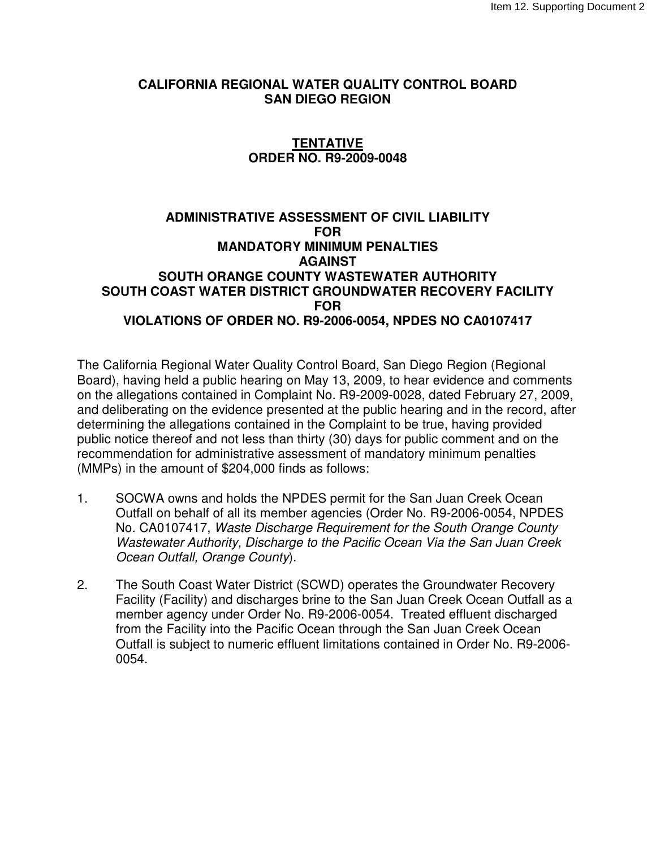## **CALIFORNIA REGIONAL WATER QUALITY CONTROL BOARD SAN DIEGO REGION**

# **TENTATIVE ORDER NO. R9-2009-0048**

## **ADMINISTRATIVE ASSESSMENT OF CIVIL LIABILITY FOR MANDATORY MINIMUM PENALTIES AGAINST SOUTH ORANGE COUNTY WASTEWATER AUTHORITY SOUTH COAST WATER DISTRICT GROUNDWATER RECOVERY FACILITY FOR VIOLATIONS OF ORDER NO. R9-2006-0054, NPDES NO CA0107417**

The California Regional Water Quality Control Board, San Diego Region (Regional Board), having held a public hearing on May 13, 2009, to hear evidence and comments on the allegations contained in Complaint No. R9-2009-0028, dated February 27, 2009, and deliberating on the evidence presented at the public hearing and in the record, after determining the allegations contained in the Complaint to be true, having provided public notice thereof and not less than thirty (30) days for public comment and on the recommendation for administrative assessment of mandatory minimum penalties (MMPs) in the amount of \$204,000 finds as follows:

- 1. SOCWA owns and holds the NPDES permit for the San Juan Creek Ocean Outfall on behalf of all its member agencies (Order No. R9-2006-0054, NPDES No. CA0107417, Waste Discharge Requirement for the South Orange County Wastewater Authority, Discharge to the Pacific Ocean Via the San Juan Creek Ocean Outfall, Orange County).
- 2. The South Coast Water District (SCWD) operates the Groundwater Recovery Facility (Facility) and discharges brine to the San Juan Creek Ocean Outfall as a member agency under Order No. R9-2006-0054. Treated effluent discharged from the Facility into the Pacific Ocean through the San Juan Creek Ocean Outfall is subject to numeric effluent limitations contained in Order No. R9-2006- 0054.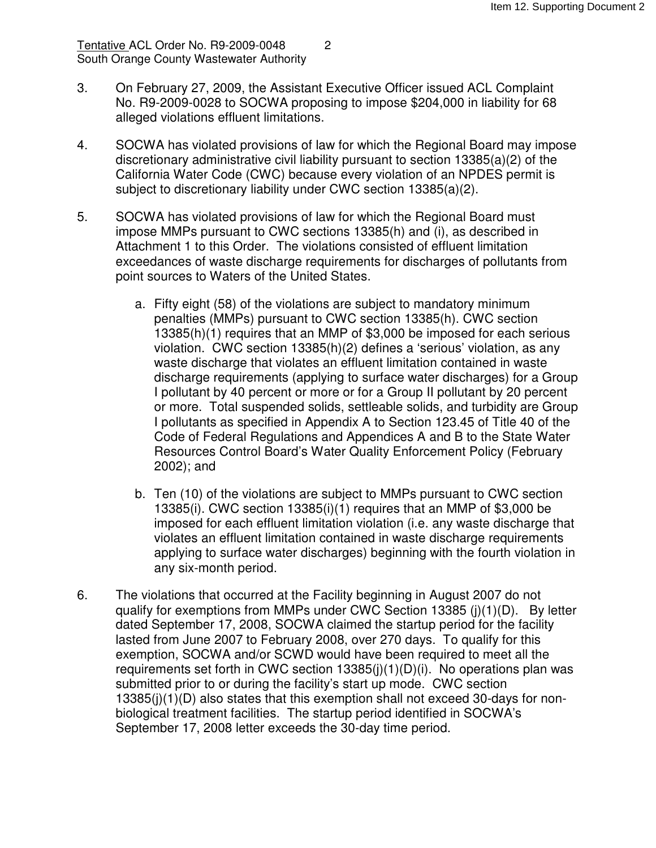Tentative ACL Order No. R9-2009-0048 2 South Orange County Wastewater Authority

- 3. On February 27, 2009, the Assistant Executive Officer issued ACL Complaint No. R9-2009-0028 to SOCWA proposing to impose \$204,000 in liability for 68 alleged violations effluent limitations.
- 4. SOCWA has violated provisions of law for which the Regional Board may impose discretionary administrative civil liability pursuant to section 13385(a)(2) of the California Water Code (CWC) because every violation of an NPDES permit is subject to discretionary liability under CWC section 13385(a)(2).
- 5. SOCWA has violated provisions of law for which the Regional Board must impose MMPs pursuant to CWC sections 13385(h) and (i), as described in Attachment 1 to this Order. The violations consisted of effluent limitation exceedances of waste discharge requirements for discharges of pollutants from point sources to Waters of the United States.
	- a. Fifty eight (58) of the violations are subject to mandatory minimum penalties (MMPs) pursuant to CWC section 13385(h). CWC section 13385(h)(1) requires that an MMP of \$3,000 be imposed for each serious violation. CWC section 13385(h)(2) defines a 'serious' violation, as any waste discharge that violates an effluent limitation contained in waste discharge requirements (applying to surface water discharges) for a Group I pollutant by 40 percent or more or for a Group II pollutant by 20 percent or more. Total suspended solids, settleable solids, and turbidity are Group I pollutants as specified in Appendix A to Section 123.45 of Title 40 of the Code of Federal Regulations and Appendices A and B to the State Water Resources Control Board's Water Quality Enforcement Policy (February 2002); and
	- b. Ten (10) of the violations are subject to MMPs pursuant to CWC section 13385(i). CWC section 13385(i)(1) requires that an MMP of \$3,000 be imposed for each effluent limitation violation (i.e. any waste discharge that violates an effluent limitation contained in waste discharge requirements applying to surface water discharges) beginning with the fourth violation in any six-month period.
- 6. The violations that occurred at the Facility beginning in August 2007 do not qualify for exemptions from MMPs under CWC Section 13385 (j)(1)(D). By letter dated September 17, 2008, SOCWA claimed the startup period for the facility lasted from June 2007 to February 2008, over 270 days. To qualify for this exemption, SOCWA and/or SCWD would have been required to meet all the requirements set forth in CWC section 13385(j)(1)(D)(i). No operations plan was submitted prior to or during the facility's start up mode. CWC section 13385(j)(1)(D) also states that this exemption shall not exceed 30-days for nonbiological treatment facilities. The startup period identified in SOCWA's September 17, 2008 letter exceeds the 30-day time period.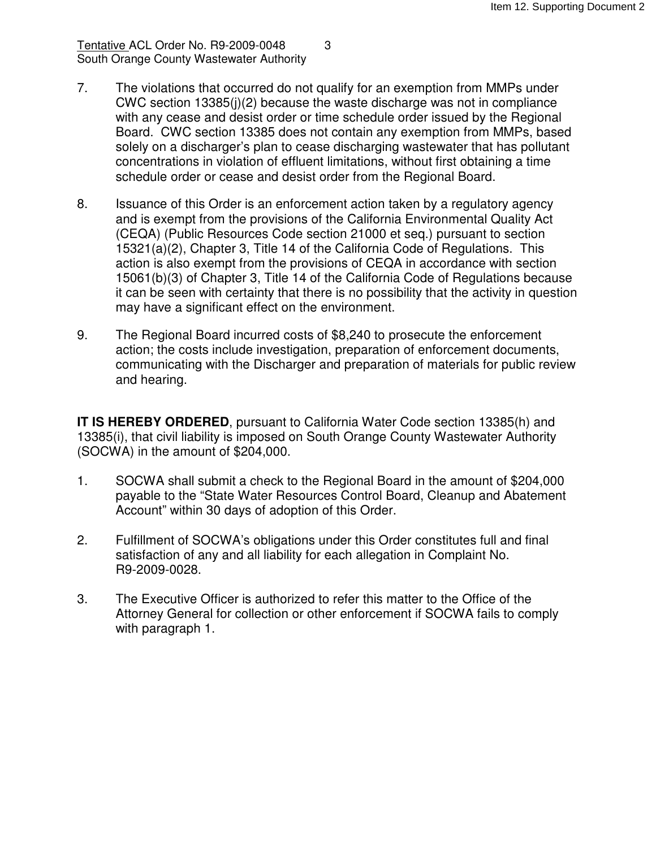Tentative ACL Order No. R9-2009-0048 3 South Orange County Wastewater Authority

- 7. The violations that occurred do not qualify for an exemption from MMPs under CWC section 13385(j)(2) because the waste discharge was not in compliance with any cease and desist order or time schedule order issued by the Regional Board. CWC section 13385 does not contain any exemption from MMPs, based solely on a discharger's plan to cease discharging wastewater that has pollutant concentrations in violation of effluent limitations, without first obtaining a time schedule order or cease and desist order from the Regional Board.
- 8. Issuance of this Order is an enforcement action taken by a regulatory agency and is exempt from the provisions of the California Environmental Quality Act (CEQA) (Public Resources Code section 21000 et seq.) pursuant to section 15321(a)(2), Chapter 3, Title 14 of the California Code of Regulations. This action is also exempt from the provisions of CEQA in accordance with section 15061(b)(3) of Chapter 3, Title 14 of the California Code of Regulations because it can be seen with certainty that there is no possibility that the activity in question may have a significant effect on the environment.
- 9. The Regional Board incurred costs of \$8,240 to prosecute the enforcement action; the costs include investigation, preparation of enforcement documents, communicating with the Discharger and preparation of materials for public review and hearing.

**IT IS HEREBY ORDERED**, pursuant to California Water Code section 13385(h) and 13385(i), that civil liability is imposed on South Orange County Wastewater Authority (SOCWA) in the amount of \$204,000.

- 1. SOCWA shall submit a check to the Regional Board in the amount of \$204,000 payable to the "State Water Resources Control Board, Cleanup and Abatement Account" within 30 days of adoption of this Order.
- 2. Fulfillment of SOCWA's obligations under this Order constitutes full and final satisfaction of any and all liability for each allegation in Complaint No. R9-2009-0028.
- 3. The Executive Officer is authorized to refer this matter to the Office of the Attorney General for collection or other enforcement if SOCWA fails to comply with paragraph 1.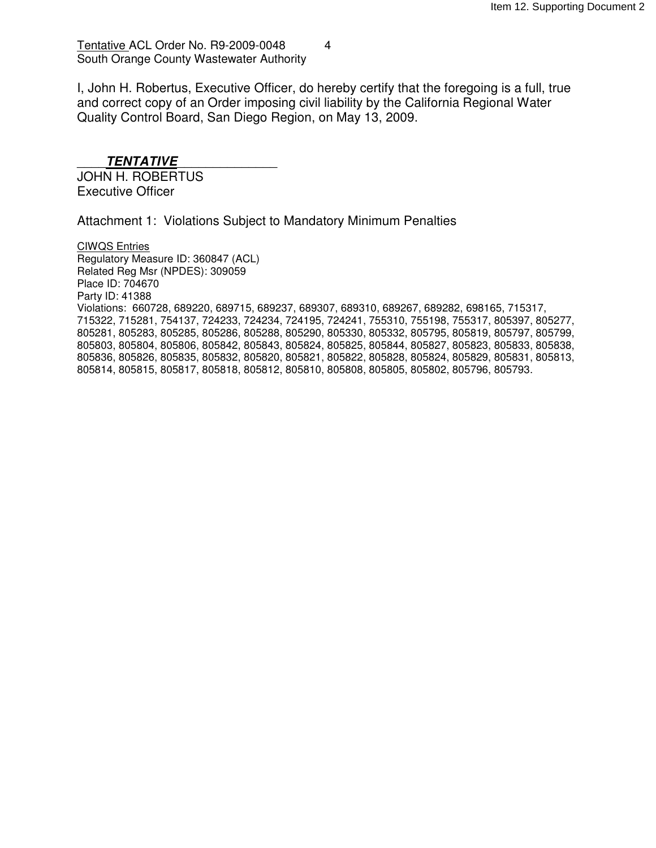### Tentative ACL Order No. R9-2009-0048 4 South Orange County Wastewater Authority

I, John H. Robertus, Executive Officer, do hereby certify that the foregoing is a full, true and correct copy of an Order imposing civil liability by the California Regional Water Quality Control Board, San Diego Region, on May 13, 2009.

### \_\_\_\_**TENTATIVE**\_\_\_\_\_\_\_\_\_\_\_\_\_\_

JOHN H. ROBERTUS Executive Officer

Attachment 1: Violations Subject to Mandatory Minimum Penalties

CIWQS Entries Regulatory Measure ID: 360847 (ACL) Related Reg Msr (NPDES): 309059 Place ID: 704670 Party ID: 41388 Violations: 660728, 689220, 689715, 689237, 689307, 689310, 689267, 689282, 698165, 715317, 715322, 715281, 754137, 724233, 724234, 724195, 724241, 755310, 755198, 755317, 805397, 805277, 805281, 805283, 805285, 805286, 805288, 805290, 805330, 805332, 805795, 805819, 805797, 805799, 805803, 805804, 805806, 805842, 805843, 805824, 805825, 805844, 805827, 805823, 805833, 805838, 805836, 805826, 805835, 805832, 805820, 805821, 805822, 805828, 805824, 805829, 805831, 805813, 805814, 805815, 805817, 805818, 805812, 805810, 805808, 805805, 805802, 805796, 805793.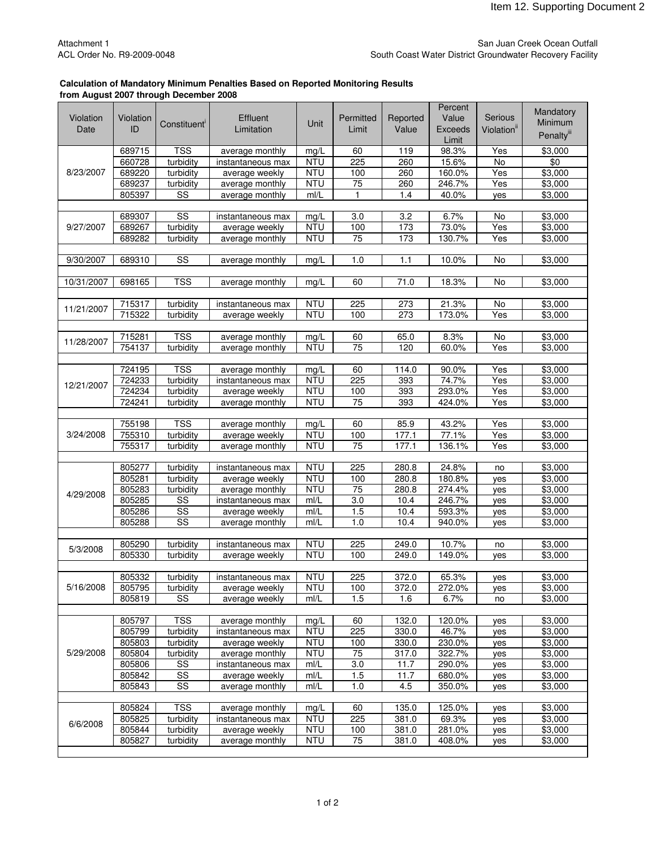#### San Juan Creek Ocean Outfall South Coast Water District Groundwater Recovery Facility

#### **Calculation of Mandatory Minimum Penalties Based on Reported Monitoring Results from August 2007 through December 2008**

|            |                  |                                                  |                   |                          |            |          | Percent        |                         | Mandatory              |
|------------|------------------|--------------------------------------------------|-------------------|--------------------------|------------|----------|----------------|-------------------------|------------------------|
| Violation  | Violation        | Constituent <sup>'</sup>                         | Effluent          | Unit                     | Permitted  | Reported | Value          | Serious                 | Minimum                |
| Date       | ID               |                                                  | Limitation        |                          | Limit      | Value    | <b>Exceeds</b> | Violation <sup>ii</sup> | Penalty <sup>iii</sup> |
|            |                  |                                                  |                   |                          |            |          | Limit          |                         |                        |
| 8/23/2007  | 689715           | <b>TSS</b>                                       | average monthly   | mg/L                     | 60         | 119      | 98.3%          | Yes                     | \$3,000                |
|            | 660728           | turbidity                                        | instantaneous max | <b>NTU</b>               | 225        | 260      | 15.6%          | No                      | $\sqrt[6]{}$           |
|            | 689220           | turbidity                                        | average weekly    | <b>NTU</b>               | 100        | 260      | 160.0%         | Yes                     | \$3,000                |
|            | 689237           | turbidity                                        | average monthly   | <b>NTU</b>               | 75         | 260      | 246.7%         | Yes                     | \$3,000                |
|            | 805397           | $\overline{\text{ss}}$                           | average monthly   | mI/L                     | 1          | 1.4      | 40.0%          | yes                     | \$3,000                |
|            |                  | SS                                               |                   |                          |            | 3.2      |                |                         | \$3,000                |
| 9/27/2007  | 689307<br>689267 |                                                  | instantaneous max | mg/L<br><b>NTU</b>       | 3.0<br>100 | 173      | 6.7%<br>73.0%  | No<br>Yes               | \$3,000                |
|            |                  | turbidity                                        | average weekly    |                          |            |          | 130.7%         |                         |                        |
|            | 689282           | turbidity                                        | average monthly   | <b>NTU</b>               | 75         | 173      |                | Yes                     | \$3,000                |
| 9/30/2007  | 689310           | $\overline{\text{SS}}$                           | average monthly   | mg/L                     | 1.0        | 1.1      | 10.0%          | No                      | \$3,000                |
|            |                  |                                                  |                   |                          |            |          |                |                         |                        |
| 10/31/2007 | 698165           | <b>TSS</b>                                       | average monthly   | mg/L                     | 60         | 71.0     | 18.3%          | No                      | \$3,000                |
|            |                  |                                                  |                   |                          |            |          |                |                         |                        |
|            | 715317           | turbidity                                        | instantaneous max | <b>NTU</b>               | 225        | 273      | 21.3%          | No                      | \$3,000                |
| 11/21/2007 | 715322           | turbidity                                        | average weekly    | <b>NTU</b>               | 100        | 273      | 173.0%         | Yes                     | \$3,000                |
|            |                  |                                                  |                   |                          |            |          |                |                         |                        |
| 11/28/2007 | 715281           | $\overline{\text{TSS}}$                          | average monthly   | mg/L                     | 60         | 65.0     | 8.3%           | No                      | \$3,000                |
|            | 754137           | turbidity                                        | average monthly   | <b>NTU</b>               | 75         | 120      | 60.0%          | Yes                     | \$3,000                |
|            |                  |                                                  |                   |                          |            |          |                |                         |                        |
|            | 724195           | <b>TSS</b>                                       | average monthly   | mg/L                     | 60         | 114.0    | 90.0%          | Yes                     | \$3,000                |
| 12/21/2007 | 724233           | turbidity                                        | instantaneous max | <b>NTU</b>               | 225        | 393      | 74.7%          | Yes                     | $\frac{1}{1}3,000$     |
|            | 724234           | turbidity                                        | average weekly    | <b>NTU</b>               | 100        | 393      | 293.0%         | Yes                     | \$3,000                |
|            | 724241           | turbidity                                        | average monthly   | <b>NTU</b>               | 75         | 393      | 424.0%         | Yes                     | \$3,000                |
|            |                  |                                                  |                   |                          |            |          |                |                         |                        |
|            | 755198           | <b>TSS</b>                                       | average monthly   | mg/L                     | 60         | 85.9     | 43.2%          | Yes                     | \$3,000                |
| 3/24/2008  | 755310           | turbidity                                        | average weekly    | <b>NTU</b>               | 100        | 177.1    | 77.1%          | Yes                     | \$3,000                |
|            | 755317           | turbidity                                        | average monthly   | <b>NTU</b>               | 75         | 177.1    | 136.1%         | Yes                     | \$3,000                |
|            |                  |                                                  |                   |                          |            |          |                |                         |                        |
|            | 805277           | turbidity                                        | instantaneous max | <b>NTU</b><br><b>NTU</b> | 225        | 280.8    | 24.8%          | no                      | \$3,000                |
|            | 805281           | turbidity                                        | average weekly    |                          | 100        | 280.8    | 180.8%         | yes                     | \$3,000                |
| 4/29/2008  | 805283           | turbidity                                        | average monthly   | <b>NTU</b>               | 75         | 280.8    | 274.4%         | yes                     | \$3,000                |
|            | 805285           | $\overline{\text{ss}}$                           | instantaneous max | mI/L                     | 3.0        | 10.4     | 246.7%         | yes                     | \$3,000                |
|            | 805286           | $\overline{\text{SS}}$<br>$\overline{\text{ss}}$ | average weekly    | mI/L                     | 1.5        | 10.4     | 593.3%         | yes                     | \$3,000                |
|            | 805288           |                                                  | average monthly   | mI/L                     | 1.0        | 10.4     | 940.0%         | yes                     | \$3,000                |
|            | 805290           | turbidity                                        | instantaneous max | <b>NTU</b>               | 225        | 249.0    | 10.7%          | no                      | \$3,000                |
| 5/3/2008   | 805330           | turbidity                                        | average weekly    | <b>NTU</b>               | 100        | 249.0    | 149.0%         | yes                     | \$3,000                |
|            |                  |                                                  |                   |                          |            |          |                |                         |                        |
|            | 805332           | turbidity                                        | instantaneous max | <b>NTU</b>               | 225        | 372.0    | 65.3%          | yes                     | \$3,000                |
| 5/16/2008  | 805795           | turbidity                                        | average weekly    | <b>NTU</b>               | 100        | 372.0    | 272.0%         | yes                     | \$3,000                |
|            | 805819           | $\overline{\text{SS}}$                           | average weekly    | m/L                      | 1.5        | 1.6      | 6.7%           | no                      | \$3,000                |
|            |                  |                                                  |                   |                          |            |          |                |                         |                        |
|            | 805797           | <b>TSS</b>                                       | average monthly   | mg/L                     | 60         | 132.0    | 120.0%         | yes                     | \$3,000                |
|            | 805799           | turbidity                                        | instantaneous max | <b>NTU</b>               | 225        | 330.0    | 46.7%          | yes                     | $\overline{$}3,000$    |
|            | 805803           | turbidity                                        | average weekly    | <b>NTU</b>               | 100        | 330.0    | 230.0%         | yes                     | \$3,000                |
| 5/29/2008  | 805804           | turbidity                                        | average monthly   | <b>NTU</b>               | 75         | 317.0    | 322.7%         | yes                     | \$3,000                |
|            | 805806           | SS                                               | instantaneous max | mI/L                     | 3.0        | 11.7     | 290.0%         | yes                     | \$3,000                |
|            | 805842           | SS                                               | average weekly    | mI/L                     | 1.5        | 11.7     | 680.0%         | yes                     | \$3,000                |
|            | 805843           | $\overline{\text{ss}}$                           | average monthly   | m/L                      | 1.0        | 4.5      | 350.0%         | yes                     | \$3,000                |
|            |                  |                                                  |                   |                          |            |          |                |                         |                        |
| 6/6/2008   | 805824           | <b>TSS</b>                                       | average monthly   | mg/L                     | 60         | 135.0    | 125.0%         | yes                     | \$3,000                |
|            | 805825           | turbidity                                        | instantaneous max | <b>NTU</b>               | 225        | 381.0    | 69.3%          | yes                     | \$3,000                |
|            | 805844           | turbidity                                        | average weekly    | <b>NTU</b>               | 100        | 381.0    | 281.0%         | yes                     | \$3,000                |
|            | 805827           | turbidity                                        | average monthly   | <b>NTU</b>               | 75         | 381.0    | 408.0%         | yes                     | \$3,000                |